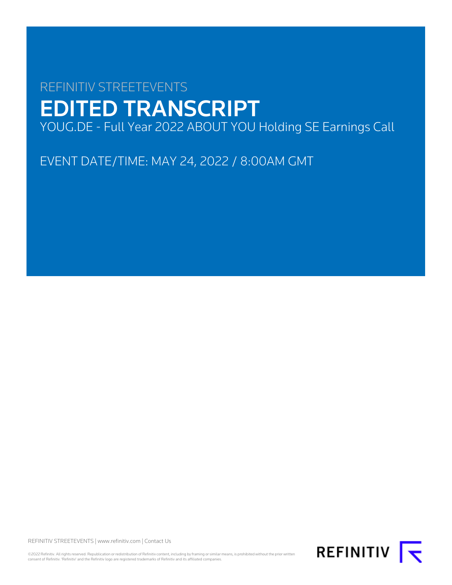# REFINITIV STREETEVENTS EDITED TRANSCRIPT YOUG.DE - Full Year 2022 ABOUT YOU Holding SE Earnings Call

EVENT DATE/TIME: MAY 24, 2022 / 8:00AM GMT

REFINITIV STREETEVENTS | [www.refinitiv.com](https://www.refinitiv.com/) | [Contact Us](https://www.refinitiv.com/en/contact-us)

©2022 Refinitiv. All rights reserved. Republication or redistribution of Refinitiv content, including by framing or similar means, is prohibited without the prior written<br>consent of Refinitiv. 'Refinitiv' and the Refinitiv

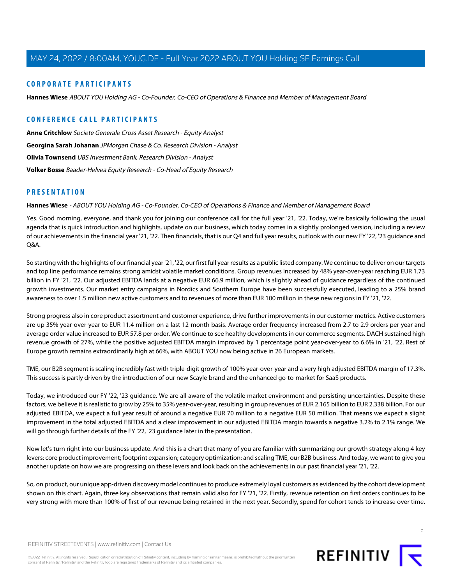#### **CORPORATE PARTICIPANTS**

**[Hannes Wiese](#page-1-0)** ABOUT YOU Holding AG - Co-Founder, Co-CEO of Operations & Finance and Member of Management Board

#### **CONFERENCE CALL PARTICIPANTS**

**[Anne Critchlow](#page-8-0)** Societe Generale Cross Asset Research - Equity Analyst **[Georgina Sarah Johanan](#page-9-0)** JPMorgan Chase & Co, Research Division - Analyst **[Olivia Townsend](#page-10-0)** UBS Investment Bank, Research Division - Analyst **[Volker Bosse](#page-7-0)** Baader-Helvea Equity Research - Co-Head of Equity Research

#### <span id="page-1-0"></span>**PRESENTATION**

#### **Hannes Wiese** - ABOUT YOU Holding AG - Co-Founder, Co-CEO of Operations & Finance and Member of Management Board

Yes. Good morning, everyone, and thank you for joining our conference call for the full year '21, '22. Today, we're basically following the usual agenda that is quick introduction and highlights, update on our business, which today comes in a slightly prolonged version, including a review of our achievements in the financial year '21, '22. Then financials, that is our Q4 and full year results, outlook with our new FY '22, '23 guidance and Q&A.

So starting with the highlights of our financial year '21, '22, our first full year results as a public listed company. We continue to deliver on our targets and top line performance remains strong amidst volatile market conditions. Group revenues increased by 48% year-over-year reaching EUR 1.73 billion in FY '21, '22. Our adjusted EBITDA lands at a negative EUR 66.9 million, which is slightly ahead of guidance regardless of the continued growth investments. Our market entry campaigns in Nordics and Southern Europe have been successfully executed, leading to a 25% brand awareness to over 1.5 million new active customers and to revenues of more than EUR 100 million in these new regions in FY '21, '22.

Strong progress also in core product assortment and customer experience, drive further improvements in our customer metrics. Active customers are up 35% year-over-year to EUR 11.4 million on a last 12-month basis. Average order frequency increased from 2.7 to 2.9 orders per year and average order value increased to EUR 57.8 per order. We continue to see healthy developments in our commerce segments. DACH sustained high revenue growth of 27%, while the positive adjusted EBITDA margin improved by 1 percentage point year-over-year to 6.6% in '21, '22. Rest of Europe growth remains extraordinarily high at 66%, with ABOUT YOU now being active in 26 European markets.

TME, our B2B segment is scaling incredibly fast with triple-digit growth of 100% year-over-year and a very high adjusted EBITDA margin of 17.3%. This success is partly driven by the introduction of our new Scayle brand and the enhanced go-to-market for SaaS products.

Today, we introduced our FY '22, '23 guidance. We are all aware of the volatile market environment and persisting uncertainties. Despite these factors, we believe it is realistic to grow by 25% to 35% year-over-year, resulting in group revenues of EUR 2.165 billion to EUR 2.338 billion. For our adjusted EBITDA, we expect a full year result of around a negative EUR 70 million to a negative EUR 50 million. That means we expect a slight improvement in the total adjusted EBITDA and a clear improvement in our adjusted EBITDA margin towards a negative 3.2% to 2.1% range. We will go through further details of the FY '22, '23 guidance later in the presentation.

Now let's turn right into our business update. And this is a chart that many of you are familiar with summarizing our growth strategy along 4 key levers: core product improvement; footprint expansion; category optimization; and scaling TME, our B2B business. And today, we want to give you another update on how we are progressing on these levers and look back on the achievements in our past financial year '21, '22.

So, on product, our unique app-driven discovery model continues to produce extremely loyal customers as evidenced by the cohort development shown on this chart. Again, three key observations that remain valid also for FY '21, '22. Firstly, revenue retention on first orders continues to be very strong with more than 100% of first of our revenue being retained in the next year. Secondly, spend for cohort tends to increase over time.

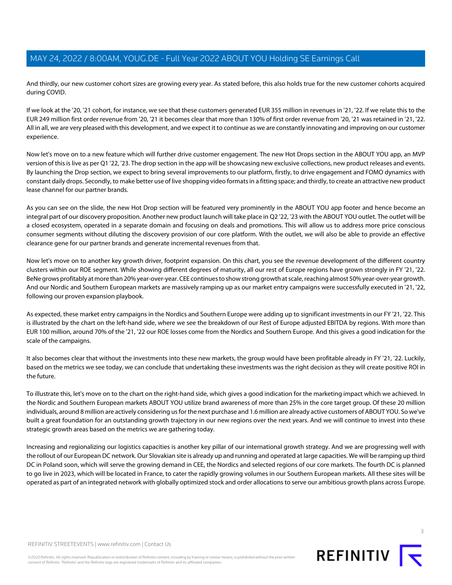And thirdly, our new customer cohort sizes are growing every year. As stated before, this also holds true for the new customer cohorts acquired during COVID.

If we look at the '20, '21 cohort, for instance, we see that these customers generated EUR 355 million in revenues in '21, '22. If we relate this to the EUR 249 million first order revenue from '20, '21 it becomes clear that more than 130% of first order revenue from '20, '21 was retained in '21, '22. All in all, we are very pleased with this development, and we expect it to continue as we are constantly innovating and improving on our customer experience.

Now let's move on to a new feature which will further drive customer engagement. The new Hot Drops section in the ABOUT YOU app, an MVP version of this is live as per Q1 '22, '23. The drop section in the app will be showcasing new exclusive collections, new product releases and events. By launching the Drop section, we expect to bring several improvements to our platform, firstly, to drive engagement and FOMO dynamics with constant daily drops. Secondly, to make better use of live shopping video formats in a fitting space; and thirdly, to create an attractive new product lease channel for our partner brands.

As you can see on the slide, the new Hot Drop section will be featured very prominently in the ABOUT YOU app footer and hence become an integral part of our discovery proposition. Another new product launch will take place in Q2 '22, '23 with the ABOUT YOU outlet. The outlet will be a closed ecosystem, operated in a separate domain and focusing on deals and promotions. This will allow us to address more price conscious consumer segments without diluting the discovery provision of our core platform. With the outlet, we will also be able to provide an effective clearance gene for our partner brands and generate incremental revenues from that.

Now let's move on to another key growth driver, footprint expansion. On this chart, you see the revenue development of the different country clusters within our ROE segment. While showing different degrees of maturity, all our rest of Europe regions have grown strongly in FY '21, '22. BeNe grows profitably at more than 20% year-over-year. CEE continues to show strong growth at scale, reaching almost 50% year-over-year growth. And our Nordic and Southern European markets are massively ramping up as our market entry campaigns were successfully executed in '21, '22, following our proven expansion playbook.

As expected, these market entry campaigns in the Nordics and Southern Europe were adding up to significant investments in our FY '21, '22. This is illustrated by the chart on the left-hand side, where we see the breakdown of our Rest of Europe adjusted EBITDA by regions. With more than EUR 100 million, around 70% of the '21, '22 our ROE losses come from the Nordics and Southern Europe. And this gives a good indication for the scale of the campaigns.

It also becomes clear that without the investments into these new markets, the group would have been profitable already in FY '21, '22. Luckily, based on the metrics we see today, we can conclude that undertaking these investments was the right decision as they will create positive ROI in the future.

To illustrate this, let's move on to the chart on the right-hand side, which gives a good indication for the marketing impact which we achieved. In the Nordic and Southern European markets ABOUT YOU utilize brand awareness of more than 25% in the core target group. Of these 20 million individuals, around 8 million are actively considering us for the next purchase and 1.6 million are already active customers of ABOUT YOU. So we've built a great foundation for an outstanding growth trajectory in our new regions over the next years. And we will continue to invest into these strategic growth areas based on the metrics we are gathering today.

Increasing and regionalizing our logistics capacities is another key pillar of our international growth strategy. And we are progressing well with the rollout of our European DC network. Our Slovakian site is already up and running and operated at large capacities. We will be ramping up third DC in Poland soon, which will serve the growing demand in CEE, the Nordics and selected regions of our core markets. The fourth DC is planned to go live in 2023, which will be located in France, to cater the rapidly growing volumes in our Southern European markets. All these sites will be operated as part of an integrated network with globally optimized stock and order allocations to serve our ambitious growth plans across Europe.



©2022 Refinitiv. All rights reserved. Republication or redistribution of Refinitiv content, including by framing or similar means, is prohibited without the prior written consent of Refinitiv. 'Refinitiv' and the Refinitiv logo are registered trademarks of Refinitiv and its affiliated companies.

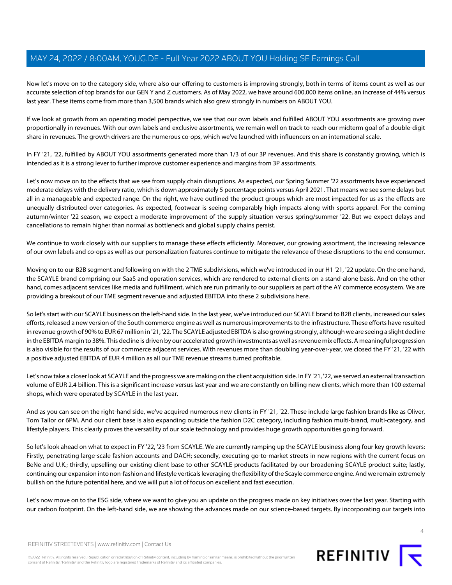Now let's move on to the category side, where also our offering to customers is improving strongly, both in terms of items count as well as our accurate selection of top brands for our GEN Y and Z customers. As of May 2022, we have around 600,000 items online, an increase of 44% versus last year. These items come from more than 3,500 brands which also grew strongly in numbers on ABOUT YOU.

If we look at growth from an operating model perspective, we see that our own labels and fulfilled ABOUT YOU assortments are growing over proportionally in revenues. With our own labels and exclusive assortments, we remain well on track to reach our midterm goal of a double-digit share in revenues. The growth drivers are the numerous co-ops, which we've launched with influencers on an international scale.

In FY '21, '22, fulfilled by ABOUT YOU assortments generated more than 1/3 of our 3P revenues. And this share is constantly growing, which is intended as it is a strong lever to further improve customer experience and margins from 3P assortments.

Let's now move on to the effects that we see from supply chain disruptions. As expected, our Spring Summer '22 assortments have experienced moderate delays with the delivery ratio, which is down approximately 5 percentage points versus April 2021. That means we see some delays but all in a manageable and expected range. On the right, we have outlined the product groups which are most impacted for us as the effects are unequally distributed over categories. As expected, footwear is seeing comparably high impacts along with sports apparel. For the coming autumn/winter '22 season, we expect a moderate improvement of the supply situation versus spring/summer '22. But we expect delays and cancellations to remain higher than normal as bottleneck and global supply chains persist.

We continue to work closely with our suppliers to manage these effects efficiently. Moreover, our growing assortment, the increasing relevance of our own labels and co-ops as well as our personalization features continue to mitigate the relevance of these disruptions to the end consumer.

Moving on to our B2B segment and following on with the 2 TME subdivisions, which we've introduced in our H1 '21, '22 update. On the one hand, the SCAYLE brand comprising our SaaS and operation services, which are rendered to external clients on a stand-alone basis. And on the other hand, comes adjacent services like media and fulfillment, which are run primarily to our suppliers as part of the AY commerce ecosystem. We are providing a breakout of our TME segment revenue and adjusted EBITDA into these 2 subdivisions here.

So let's start with our SCAYLE business on the left-hand side. In the last year, we've introduced our SCAYLE brand to B2B clients, increased our sales efforts, released a new version of the South commerce engine as well as numerous improvements to the infrastructure. These efforts have resulted in revenue growth of 90% to EUR 67 million in '21, '22. The SCAYLE adjusted EBITDA is also growing strongly, although we are seeing a slight decline in the EBITDA margin to 38%. This decline is driven by our accelerated growth investments as well as revenue mix effects. A meaningful progression is also visible for the results of our commerce adjacent services. With revenues more than doubling year-over-year, we closed the FY '21, '22 with a positive adjusted EBITDA of EUR 4 million as all our TME revenue streams turned profitable.

Let's now take a closer look at SCAYLE and the progress we are making on the client acquisition side. In FY '21, '22, we served an external transaction volume of EUR 2.4 billion. This is a significant increase versus last year and we are constantly on billing new clients, which more than 100 external shops, which were operated by SCAYLE in the last year.

And as you can see on the right-hand side, we've acquired numerous new clients in FY '21, '22. These include large fashion brands like as Oliver, Tom Tailor or 6PM. And our client base is also expanding outside the fashion D2C category, including fashion multi-brand, multi-category, and lifestyle players. This clearly proves the versatility of our scale technology and provides huge growth opportunities going forward.

So let's look ahead on what to expect in FY '22, '23 from SCAYLE. We are currently ramping up the SCAYLE business along four key growth levers: Firstly, penetrating large-scale fashion accounts and DACH; secondly, executing go-to-market streets in new regions with the current focus on BeNe and U.K.; thirdly, upselling our existing client base to other SCAYLE products facilitated by our broadening SCAYLE product suite; lastly, continuing our expansion into non-fashion and lifestyle verticals leveraging the flexibility of the Scayle commerce engine. And we remain extremely bullish on the future potential here, and we will put a lot of focus on excellent and fast execution.

Let's now move on to the ESG side, where we want to give you an update on the progress made on key initiatives over the last year. Starting with our carbon footprint. On the left-hand side, we are showing the advances made on our science-based targets. By incorporating our targets into



REFINITIV STREETEVENTS | [www.refinitiv.com](https://www.refinitiv.com/) | [Contact Us](https://www.refinitiv.com/en/contact-us)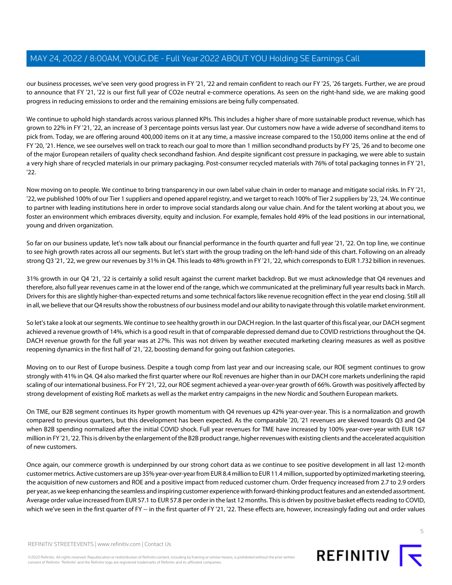our business processes, we've seen very good progress in FY '21, '22 and remain confident to reach our FY '25, '26 targets. Further, we are proud to announce that FY '21, '22 is our first full year of CO2e neutral e-commerce operations. As seen on the right-hand side, we are making good progress in reducing emissions to order and the remaining emissions are being fully compensated.

We continue to uphold high standards across various planned KPIs. This includes a higher share of more sustainable product revenue, which has grown to 22% in FY '21, '22, an increase of 3 percentage points versus last year. Our customers now have a wide adverse of secondhand items to pick from. Today, we are offering around 400,000 items on it at any time, a massive increase compared to the 150,000 items online at the end of FY '20, '21. Hence, we see ourselves well on track to reach our goal to more than 1 million secondhand products by FY '25, '26 and to become one of the major European retailers of quality check secondhand fashion. And despite significant cost pressure in packaging, we were able to sustain a very high share of recycled materials in our primary packaging. Post-consumer recycled materials with 76% of total packaging tonnes in FY '21, '22.

Now moving on to people. We continue to bring transparency in our own label value chain in order to manage and mitigate social risks. In FY '21, '22, we published 100% of our Tier 1 suppliers and opened apparel registry, and we target to reach 100% of Tier 2 suppliers by '23, '24. We continue to partner with leading institutions here in order to improve social standards along our value chain. And for the talent working at about you, we foster an environment which embraces diversity, equity and inclusion. For example, females hold 49% of the lead positions in our international, young and driven organization.

So far on our business update, let's now talk about our financial performance in the fourth quarter and full year '21, '22. On top line, we continue to see high growth rates across all our segments. But let's start with the group trading on the left-hand side of this chart. Following on an already strong Q3 '21, '22, we grew our revenues by 31% in Q4. This leads to 48% growth in FY '21, '22, which corresponds to EUR 1.732 billion in revenues.

31% growth in our Q4 '21, '22 is certainly a solid result against the current market backdrop. But we must acknowledge that Q4 revenues and therefore, also full year revenues came in at the lower end of the range, which we communicated at the preliminary full year results back in March. Drivers for this are slightly higher-than-expected returns and some technical factors like revenue recognition effect in the year end closing. Still all in all, we believe that our Q4 results show the robustness of our business model and our ability to navigate through this volatile market environment.

So let's take a look at our segments. We continue to see healthy growth in our DACH region. In the last quarter of this fiscal year, our DACH segment achieved a revenue growth of 14%, which is a good result in that of comparable depressed demand due to COVID restrictions throughout the Q4. DACH revenue growth for the full year was at 27%. This was not driven by weather executed marketing clearing measures as well as positive reopening dynamics in the first half of '21, '22, boosting demand for going out fashion categories.

Moving on to our Rest of Europe business. Despite a tough comp from last year and our increasing scale, our ROE segment continues to grow strongly with 41% in Q4. Q4 also marked the first quarter where our RoE revenues are higher than in our DACH core markets underlining the rapid scaling of our international business. For FY '21, '22, our ROE segment achieved a year-over-year growth of 66%. Growth was positively affected by strong development of existing RoE markets as well as the market entry campaigns in the new Nordic and Southern European markets.

On TME, our B2B segment continues its hyper growth momentum with Q4 revenues up 42% year-over-year. This is a normalization and growth compared to previous quarters, but this development has been expected. As the comparable '20, '21 revenues are skewed towards Q3 and Q4 when B2B spending normalized after the initial COVID shock. Full year revenues for TME have increased by 100% year-over-year with EUR 167 million in FY '21, '22. This is driven by the enlargement of the B2B product range, higher revenues with existing clients and the accelerated acquisition of new customers.

Once again, our commerce growth is underpinned by our strong cohort data as we continue to see positive development in all last 12-month customer metrics. Active customers are up 35% year-over-year from EUR 8.4 million to EUR 11.4 million, supported by optimized marketing steering, the acquisition of new customers and ROE and a positive impact from reduced customer churn. Order frequency increased from 2.7 to 2.9 orders per year, as we keep enhancing the seamless and inspiring customer experience with forward-thinking product features and an extended assortment. Average order value increased from EUR 57.1 to EUR 57.8 per order in the last 12 months. This is driven by positive basket effects reading to COVID, which we've seen in the first quarter of FY -- in the first quarter of FY '21, '22. These effects are, however, increasingly fading out and order values

©2022 Refinitiv. All rights reserved. Republication or redistribution of Refinitiv content, including by framing or similar means, is prohibited without the prior written consent of Refinitiv. 'Refinitiv' and the Refinitiv logo are registered trademarks of Refinitiv and its affiliated companies.

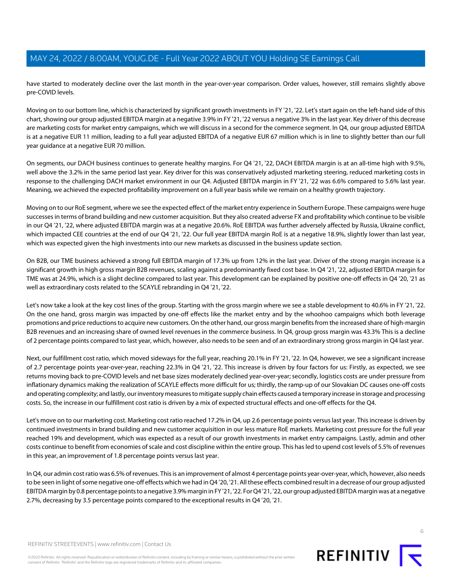have started to moderately decline over the last month in the year-over-year comparison. Order values, however, still remains slightly above pre-COVID levels.

Moving on to our bottom line, which is characterized by significant growth investments in FY '21, '22. Let's start again on the left-hand side of this chart, showing our group adjusted EBITDA margin at a negative 3.9% in FY '21, '22 versus a negative 3% in the last year. Key driver of this decrease are marketing costs for market entry campaigns, which we will discuss in a second for the commerce segment. In Q4, our group adjusted EBITDA is at a negative EUR 11 million, leading to a full year adjusted EBITDA of a negative EUR 67 million which is in line to slightly better than our full year guidance at a negative EUR 70 million.

On segments, our DACH business continues to generate healthy margins. For Q4 '21, '22, DACH EBITDA margin is at an all-time high with 9.5%, well above the 3.2% in the same period last year. Key driver for this was conservatively adjusted marketing steering, reduced marketing costs in response to the challenging DACH market environment in our Q4. Adjusted EBITDA margin in FY '21, '22 was 6.6% compared to 5.6% last year. Meaning, we achieved the expected profitability improvement on a full year basis while we remain on a healthy growth trajectory.

Moving on to our RoE segment, where we see the expected effect of the market entry experience in Southern Europe. These campaigns were huge successes in terms of brand building and new customer acquisition. But they also created adverse FX and profitability which continue to be visible in our Q4 '21, '22, where adjusted EBITDA margin was at a negative 20.6%. RoE EBITDA was further adversely affected by Russia, Ukraine conflict, which impacted CEE countries at the end of our Q4 '21, '22. Our full year EBITDA margin RoE is at a negative 18.9%, slightly lower than last year, which was expected given the high investments into our new markets as discussed in the business update section.

On B2B, our TME business achieved a strong full EBITDA margin of 17.3% up from 12% in the last year. Driver of the strong margin increase is a significant growth in high gross margin B2B revenues, scaling against a predominantly fixed cost base. In Q4 '21, '22, adjusted EBITDA margin for TME was at 24.9%, which is a slight decline compared to last year. This development can be explained by positive one-off effects in Q4 '20, '21 as well as extraordinary costs related to the SCAYLE rebranding in Q4 '21, '22.

Let's now take a look at the key cost lines of the group. Starting with the gross margin where we see a stable development to 40.6% in FY '21, '22. On the one hand, gross margin was impacted by one-off effects like the market entry and by the whoohoo campaigns which both leverage promotions and price reductions to acquire new customers. On the other hand, our gross margin benefits from the increased share of high-margin B2B revenues and an increasing share of owned level revenues in the commerce business. In Q4, group gross margin was 43.3% This is a decline of 2 percentage points compared to last year, which, however, also needs to be seen and of an extraordinary strong gross margin in Q4 last year.

Next, our fulfillment cost ratio, which moved sideways for the full year, reaching 20.1% in FY '21, '22. In Q4, however, we see a significant increase of 2.7 percentage points year-over-year, reaching 22.3% in Q4 '21, '22. This increase is driven by four factors for us: Firstly, as expected, we see returns moving back to pre-COVID levels and net base sizes moderately declined year-over-year; secondly, logistics costs are under pressure from inflationary dynamics making the realization of SCAYLE effects more difficult for us; thirdly, the ramp-up of our Slovakian DC causes one-off costs and operating complexity; and lastly, our inventory measures to mitigate supply chain effects caused a temporary increase in storage and processing costs. So, the increase in our fulfillment cost ratio is driven by a mix of expected structural effects and one-off effects for the Q4.

Let's move on to our marketing cost. Marketing cost ratio reached 17.2% in Q4, up 2.6 percentage points versus last year. This increase is driven by continued investments in brand building and new customer acquisition in our less mature RoE markets. Marketing cost pressure for the full year reached 19% and development, which was expected as a result of our growth investments in market entry campaigns. Lastly, admin and other costs continue to benefit from economies of scale and cost discipline within the entire group. This has led to upend cost levels of 5.5% of revenues in this year, an improvement of 1.8 percentage points versus last year.

In Q4, our admin cost ratio was 6.5% of revenues. This is an improvement of almost 4 percentage points year-over-year, which, however, also needs to be seen in light of some negative one-off effects which we had in Q4 '20, '21. All these effects combined result in a decrease of our group adjusted EBITDA margin by 0.8 percentage points to a negative 3.9% margin in FY '21, '22. For Q4 '21, '22, our group adjusted EBITDA margin was at a negative 2.7%, decreasing by 3.5 percentage points compared to the exceptional results in Q4 '20, '21.

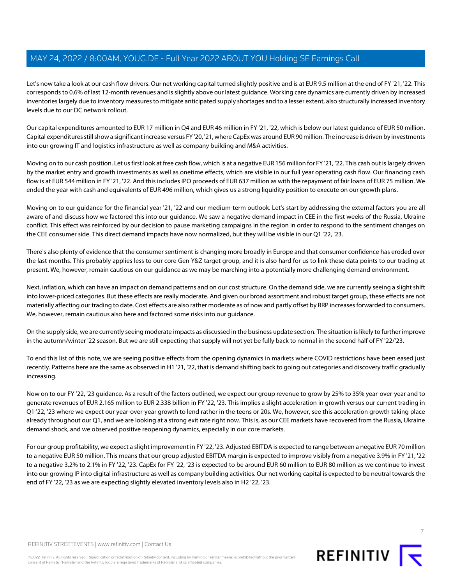Let's now take a look at our cash flow drivers. Our net working capital turned slightly positive and is at EUR 9.5 million at the end of FY '21, '22. This corresponds to 0.6% of last 12-month revenues and is slightly above our latest guidance. Working care dynamics are currently driven by increased inventories largely due to inventory measures to mitigate anticipated supply shortages and to a lesser extent, also structurally increased inventory levels due to our DC network rollout.

Our capital expenditures amounted to EUR 17 million in Q4 and EUR 46 million in FY '21, '22, which is below our latest guidance of EUR 50 million. Capital expenditures still show a significant increase versus FY '20, '21, where CapEx was around EUR 90 million. The increase is driven by investments into our growing IT and logistics infrastructure as well as company building and M&A activities.

Moving on to our cash position. Let us first look at free cash flow, which is at a negative EUR 156 million for FY '21, '22. This cash out is largely driven by the market entry and growth investments as well as onetime effects, which are visible in our full year operating cash flow. Our financing cash flow is at EUR 544 million in FY '21, '22. And this includes IPO proceeds of EUR 637 million as with the repayment of fair loans of EUR 75 million. We ended the year with cash and equivalents of EUR 496 million, which gives us a strong liquidity position to execute on our growth plans.

Moving on to our guidance for the financial year '21, '22 and our medium-term outlook. Let's start by addressing the external factors you are all aware of and discuss how we factored this into our guidance. We saw a negative demand impact in CEE in the first weeks of the Russia, Ukraine conflict. This effect was reinforced by our decision to pause marketing campaigns in the region in order to respond to the sentiment changes on the CEE consumer side. This direct demand impacts have now normalized, but they will be visible in our Q1 '22, '23.

There's also plenty of evidence that the consumer sentiment is changing more broadly in Europe and that consumer confidence has eroded over the last months. This probably applies less to our core Gen Y&Z target group, and it is also hard for us to link these data points to our trading at present. We, however, remain cautious on our guidance as we may be marching into a potentially more challenging demand environment.

Next, inflation, which can have an impact on demand patterns and on our cost structure. On the demand side, we are currently seeing a slight shift into lower-priced categories. But these effects are really moderate. And given our broad assortment and robust target group, these effects are not materially affecting our trading to date. Cost effects are also rather moderate as of now and partly offset by RRP increases forwarded to consumers. We, however, remain cautious also here and factored some risks into our guidance.

On the supply side, we are currently seeing moderate impacts as discussed in the business update section. The situation is likely to further improve in the autumn/winter '22 season. But we are still expecting that supply will not yet be fully back to normal in the second half of FY '22/'23.

To end this list of this note, we are seeing positive effects from the opening dynamics in markets where COVID restrictions have been eased just recently. Patterns here are the same as observed in H1 '21, '22, that is demand shifting back to going out categories and discovery traffic gradually increasing.

Now on to our FY '22, '23 guidance. As a result of the factors outlined, we expect our group revenue to grow by 25% to 35% year-over-year and to generate revenues of EUR 2.165 million to EUR 2.338 billion in FY '22, '23. This implies a slight acceleration in growth versus our current trading in Q1 '22, '23 where we expect our year-over-year growth to lend rather in the teens or 20s. We, however, see this acceleration growth taking place already throughout our Q1, and we are looking at a strong exit rate right now. This is, as our CEE markets have recovered from the Russia, Ukraine demand shock, and we observed positive reopening dynamics, especially in our core markets.

For our group profitability, we expect a slight improvement in FY '22, '23. Adjusted EBITDA is expected to range between a negative EUR 70 million to a negative EUR 50 million. This means that our group adjusted EBITDA margin is expected to improve visibly from a negative 3.9% in FY '21, '22 to a negative 3.2% to 2.1% in FY '22, '23. CapEx for FY '22, '23 is expected to be around EUR 60 million to EUR 80 million as we continue to invest into our growing IP into digital infrastructure as well as company building activities. Our net working capital is expected to be neutral towards the end of FY '22, '23 as we are expecting slightly elevated inventory levels also in H2 '22, '23.



©2022 Refinitiv. All rights reserved. Republication or redistribution of Refinitiv content, including by framing or similar means, is prohibited without the prior written consent of Refinitiv. 'Refinitiv' and the Refinitiv logo are registered trademarks of Refinitiv and its affiliated companies.

REFINITIV **I**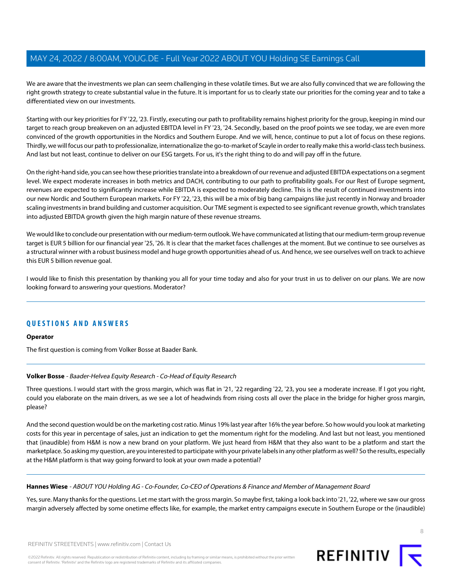We are aware that the investments we plan can seem challenging in these volatile times. But we are also fully convinced that we are following the right growth strategy to create substantial value in the future. It is important for us to clearly state our priorities for the coming year and to take a differentiated view on our investments.

Starting with our key priorities for FY '22, '23. Firstly, executing our path to profitability remains highest priority for the group, keeping in mind our target to reach group breakeven on an adjusted EBITDA level in FY '23, '24. Secondly, based on the proof points we see today, we are even more convinced of the growth opportunities in the Nordics and Southern Europe. And we will, hence, continue to put a lot of focus on these regions. Thirdly, we will focus our path to professionalize, internationalize the go-to-market of Scayle in order to really make this a world-class tech business. And last but not least, continue to deliver on our ESG targets. For us, it's the right thing to do and will pay off in the future.

On the right-hand side, you can see how these priorities translate into a breakdown of our revenue and adjusted EBITDA expectations on a segment level. We expect moderate increases in both metrics and DACH, contributing to our path to profitability goals. For our Rest of Europe segment, revenues are expected to significantly increase while EBITDA is expected to moderately decline. This is the result of continued investments into our new Nordic and Southern European markets. For FY '22, '23, this will be a mix of big bang campaigns like just recently in Norway and broader scaling investments in brand building and customer acquisition. Our TME segment is expected to see significant revenue growth, which translates into adjusted EBITDA growth given the high margin nature of these revenue streams.

We would like to conclude our presentation with our medium-term outlook. We have communicated at listing that our medium-term group revenue target is EUR 5 billion for our financial year '25, '26. It is clear that the market faces challenges at the moment. But we continue to see ourselves as a structural winner with a robust business model and huge growth opportunities ahead of us. And hence, we see ourselves well on track to achieve this EUR 5 billion revenue goal.

I would like to finish this presentation by thanking you all for your time today and also for your trust in us to deliver on our plans. We are now looking forward to answering your questions. Moderator?

#### **QUESTIONS AND ANSWERS**

#### <span id="page-7-0"></span>**Operator**

The first question is coming from Volker Bosse at Baader Bank.

#### **Volker Bosse** - Baader-Helvea Equity Research - Co-Head of Equity Research

Three questions. I would start with the gross margin, which was flat in '21, '22 regarding '22, '23, you see a moderate increase. If I got you right, could you elaborate on the main drivers, as we see a lot of headwinds from rising costs all over the place in the bridge for higher gross margin, please?

And the second question would be on the marketing cost ratio. Minus 19% last year after 16% the year before. So how would you look at marketing costs for this year in percentage of sales, just an indication to get the momentum right for the modeling. And last but not least, you mentioned that (inaudible) from H&M is now a new brand on your platform. We just heard from H&M that they also want to be a platform and start the marketplace. So asking my question, are you interested to participate with your private labels in any other platform as well? So the results, especially at the H&M platform is that way going forward to look at your own made a potential?

#### **Hannes Wiese** - ABOUT YOU Holding AG - Co-Founder, Co-CEO of Operations & Finance and Member of Management Board

Yes, sure. Many thanks for the questions. Let me start with the gross margin. So maybe first, taking a look back into '21, '22, where we saw our gross margin adversely affected by some onetime effects like, for example, the market entry campaigns execute in Southern Europe or the (inaudible)

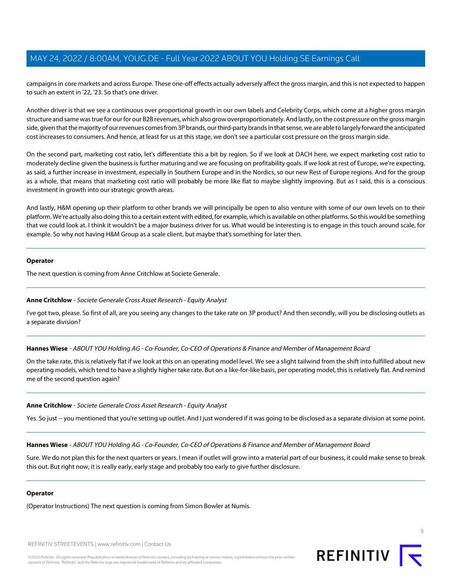campaigns in core markets and across Europe. These one-off effects actually adversely affect the gross margin, and this is not expected to happen to such an extent in '22, '23. So that's one driver.

Another driver is that we see a continuous over proportional growth in our own labels and Celebrity Corps, which come at a higher gross margin structure and same was true for our for our B2B revenues, which also grow overproportionately. And lastly, on the cost pressure on the gross margin side, given that the majority of our revenues comes from 3P brands, our third-party brands in that sense, we are able to largely forward the anticipated cost increases to consumers. And hence, at least for us at this stage, we don't see a particular cost pressure on the gross margin side.

On the second part, marketing cost ratio, let's differentiate this a bit by region. So if we look at DACH here, we expect marketing cost ratio to moderately decline given the business is further maturing and we are focusing on profitability goals. If we look at rest of Europe, we're expecting, as said, a further increase in investment, especially in Southern Europe and in the Nordics, so our new Rest of Europe regions. And for the group as a whole, that means that marketing cost ratio will probably be more like flat to maybe slightly improving. But as I said, this is a conscious investment in growth into our strategic growth areas.

And lastly, H&M opening up their platform to other brands we will principally be open to also venture with some of our own levels on to their platform. We're actually also doing this to a certain extent with edited, for example, which is available on other platforms. So this would be something that we could look at. I think it wouldn't be a major business driver for us. What would be interesting is to engage in this touch around scale, for example. So why not having H&M Group as a scale client, but maybe that's something for later then.

#### **Operator**

<span id="page-8-0"></span>The next question is coming from Anne Critchlow at Societe Generale.

#### **Anne Critchlow** - Societe Generale Cross Asset Research - Equity Analyst

I've got two, please. So first of all, are you seeing any changes to the take rate on 3P product? And then secondly, will you be disclosing outlets as a separate division?

**Hannes Wiese** - ABOUT YOU Holding AG - Co-Founder, Co-CEO of Operations & Finance and Member of Management Board

On the take rate, this is relatively flat if we look at this on an operating model level. We see a slight tailwind from the shift into fulfilled about new operating models, which tend to have a slightly higher take rate. But on a like-for-like basis, per operating model, this is relatively flat. And remind me of the second question again?

#### **Anne Critchlow** - Societe Generale Cross Asset Research - Equity Analyst

Yes. So just -- you mentioned that you're setting up outlet. And I just wondered if it was going to be disclosed as a separate division at some point.

**Hannes Wiese** - ABOUT YOU Holding AG - Co-Founder, Co-CEO of Operations & Finance and Member of Management Board

Sure. We do not plan this for the next quarters or years. I mean if outlet will grow into a material part of our business, it could make sense to break this out. But right now, it is really early, early stage and probably too early to give further disclosure.

#### **Operator**

(Operator Instructions) The next question is coming from Simon Bowler at Numis.

REFINITIV STREETEVENTS | [www.refinitiv.com](https://www.refinitiv.com/) | [Contact Us](https://www.refinitiv.com/en/contact-us)

©2022 Refinitiv. All rights reserved. Republication or redistribution of Refinitiv content, including by framing or similar means, is prohibited without the prior written consent of Refinitiv. 'Refinitiv' and the Refinitiv logo are registered trademarks of Refinitiv and its affiliated companies.

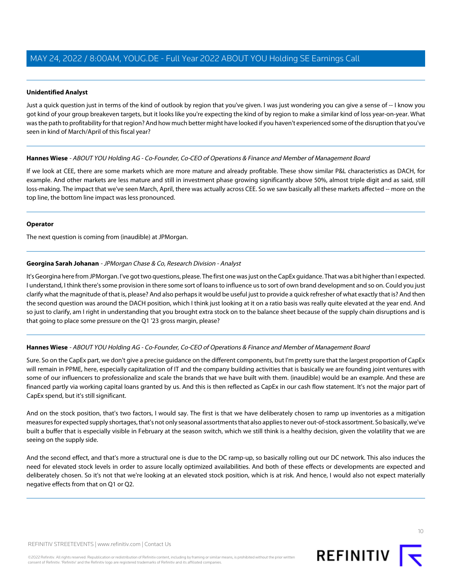#### **Unidentified Analyst**

Just a quick question just in terms of the kind of outlook by region that you've given. I was just wondering you can give a sense of -- I know you got kind of your group breakeven targets, but it looks like you're expecting the kind of by region to make a similar kind of loss year-on-year. What was the path to profitability for that region? And how much better might have looked if you haven't experienced some of the disruption that you've seen in kind of March/April of this fiscal year?

#### **Hannes Wiese** - ABOUT YOU Holding AG - Co-Founder, Co-CEO of Operations & Finance and Member of Management Board

If we look at CEE, there are some markets which are more mature and already profitable. These show similar P&L characteristics as DACH, for example. And other markets are less mature and still in investment phase growing significantly above 50%, almost triple digit and as said, still loss-making. The impact that we've seen March, April, there was actually across CEE. So we saw basically all these markets affected -- more on the top line, the bottom line impact was less pronounced.

#### **Operator**

<span id="page-9-0"></span>The next question is coming from (inaudible) at JPMorgan.

#### **Georgina Sarah Johanan** - JPMorgan Chase & Co, Research Division - Analyst

It's Georgina here from JPMorgan. I've got two questions, please. The first one was just on the CapEx guidance. That was a bit higher than I expected. I understand, I think there's some provision in there some sort of loans to influence us to sort of own brand development and so on. Could you just clarify what the magnitude of that is, please? And also perhaps it would be useful just to provide a quick refresher of what exactly that is? And then the second question was around the DACH position, which I think just looking at it on a ratio basis was really quite elevated at the year end. And so just to clarify, am I right in understanding that you brought extra stock on to the balance sheet because of the supply chain disruptions and is that going to place some pressure on the Q1 '23 gross margin, please?

#### **Hannes Wiese** - ABOUT YOU Holding AG - Co-Founder, Co-CEO of Operations & Finance and Member of Management Board

Sure. So on the CapEx part, we don't give a precise guidance on the different components, but I'm pretty sure that the largest proportion of CapEx will remain in PPME, here, especially capitalization of IT and the company building activities that is basically we are founding joint ventures with some of our influencers to professionalize and scale the brands that we have built with them. (inaudible) would be an example. And these are financed partly via working capital loans granted by us. And this is then reflected as CapEx in our cash flow statement. It's not the major part of CapEx spend, but it's still significant.

And on the stock position, that's two factors, I would say. The first is that we have deliberately chosen to ramp up inventories as a mitigation measures for expected supply shortages, that's not only seasonal assortments that also applies to never out-of-stock assortment. So basically, we've built a buffer that is especially visible in February at the season switch, which we still think is a healthy decision, given the volatility that we are seeing on the supply side.

And the second effect, and that's more a structural one is due to the DC ramp-up, so basically rolling out our DC network. This also induces the need for elevated stock levels in order to assure locally optimized availabilities. And both of these effects or developments are expected and deliberately chosen. So it's not that we're looking at an elevated stock position, which is at risk. And hence, I would also not expect materially negative effects from that on Q1 or Q2.

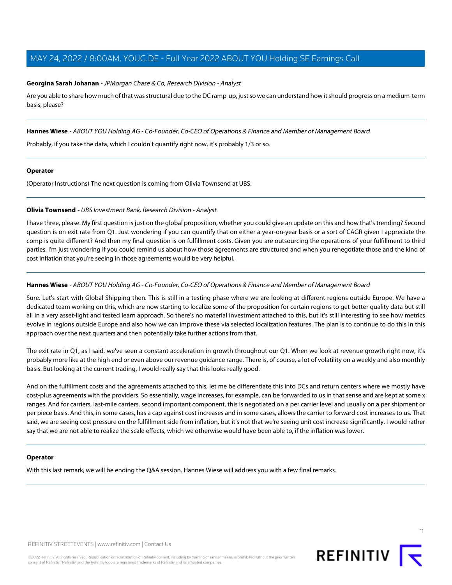#### **Georgina Sarah Johanan** - JPMorgan Chase & Co, Research Division - Analyst

Are you able to share how much of that was structural due to the DC ramp-up, just so we can understand how it should progress on a medium-term basis, please?

**Hannes Wiese** - ABOUT YOU Holding AG - Co-Founder, Co-CEO of Operations & Finance and Member of Management Board

Probably, if you take the data, which I couldn't quantify right now, it's probably 1/3 or so.

#### **Operator**

<span id="page-10-0"></span>(Operator Instructions) The next question is coming from Olivia Townsend at UBS.

#### **Olivia Townsend** - UBS Investment Bank, Research Division - Analyst

I have three, please. My first question is just on the global proposition, whether you could give an update on this and how that's trending? Second question is on exit rate from Q1. Just wondering if you can quantify that on either a year-on-year basis or a sort of CAGR given I appreciate the comp is quite different? And then my final question is on fulfillment costs. Given you are outsourcing the operations of your fulfillment to third parties, I'm just wondering if you could remind us about how those agreements are structured and when you renegotiate those and the kind of cost inflation that you're seeing in those agreements would be very helpful.

#### **Hannes Wiese** - ABOUT YOU Holding AG - Co-Founder, Co-CEO of Operations & Finance and Member of Management Board

Sure. Let's start with Global Shipping then. This is still in a testing phase where we are looking at different regions outside Europe. We have a dedicated team working on this, which are now starting to localize some of the proposition for certain regions to get better quality data but still all in a very asset-light and tested learn approach. So there's no material investment attached to this, but it's still interesting to see how metrics evolve in regions outside Europe and also how we can improve these via selected localization features. The plan is to continue to do this in this approach over the next quarters and then potentially take further actions from that.

The exit rate in Q1, as I said, we've seen a constant acceleration in growth throughout our Q1. When we look at revenue growth right now, it's probably more like at the high end or even above our revenue guidance range. There is, of course, a lot of volatility on a weekly and also monthly basis. But looking at the current trading, I would really say that this looks really good.

And on the fulfillment costs and the agreements attached to this, let me be differentiate this into DCs and return centers where we mostly have cost-plus agreements with the providers. So essentially, wage increases, for example, can be forwarded to us in that sense and are kept at some x ranges. And for carriers, last-mile carriers, second important component, this is negotiated on a per carrier level and usually on a per shipment or per piece basis. And this, in some cases, has a cap against cost increases and in some cases, allows the carrier to forward cost increases to us. That said, we are seeing cost pressure on the fulfillment side from inflation, but it's not that we're seeing unit cost increase significantly. I would rather say that we are not able to realize the scale effects, which we otherwise would have been able to, if the inflation was lower.

#### **Operator**

With this last remark, we will be ending the Q&A session. Hannes Wiese will address you with a few final remarks.